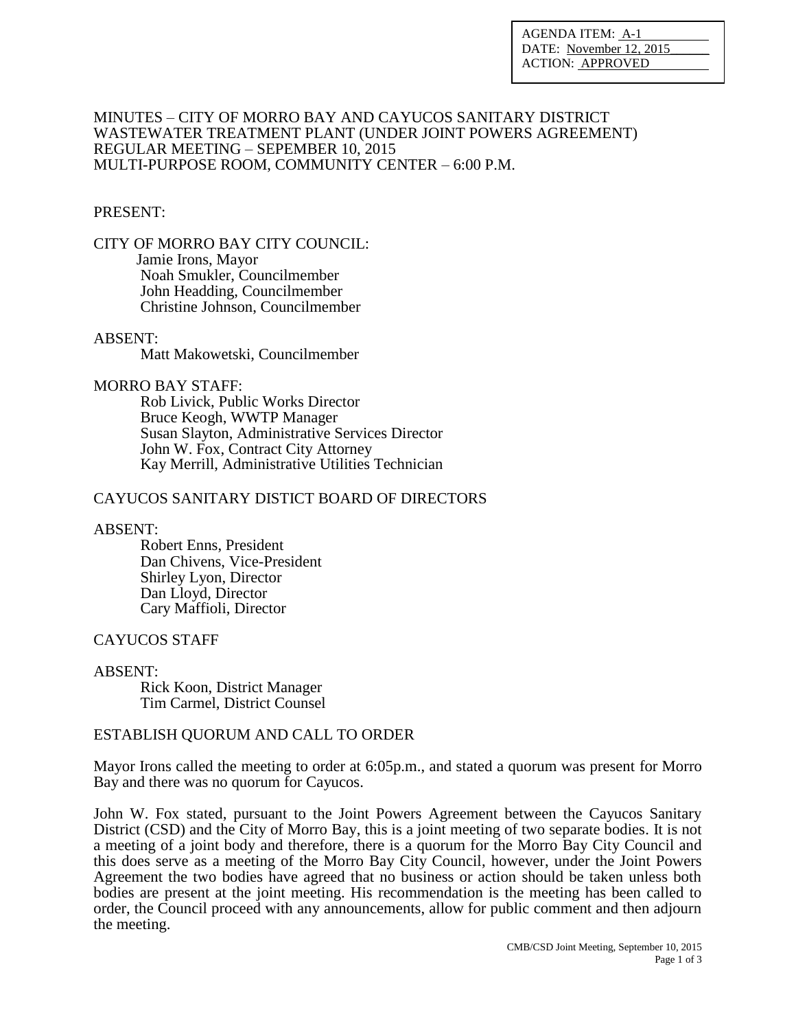AGENDA ITEM: A-1 DATE: November 12, 2015 ACTION: APPROVED

#### MINUTES – CITY OF MORRO BAY AND CAYUCOS SANITARY DISTRICT WASTEWATER TREATMENT PLANT (UNDER JOINT POWERS AGREEMENT) REGULAR MEETING – SEPEMBER 10, 2015 MULTI-PURPOSE ROOM, COMMUNITY CENTER – 6:00 P.M.

## PRESENT:

CITY OF MORRO BAY CITY COUNCIL: Jamie Irons, Mayor Noah Smukler, Councilmember John Headding, Councilmember Christine Johnson, Councilmember

# ABSENT:

Matt Makowetski, Councilmember

#### MORRO BAY STAFF:

Rob Livick, Public Works Director Bruce Keogh, WWTP Manager Susan Slayton, Administrative Services Director John W. Fox, Contract City Attorney Kay Merrill, Administrative Utilities Technician

## CAYUCOS SANITARY DISTICT BOARD OF DIRECTORS

### ABSENT:

 Robert Enns, President Dan Chivens, Vice-President Shirley Lyon, Director Dan Lloyd, Director Cary Maffioli, Director

### CAYUCOS STAFF

### ABSENT:

 Rick Koon, District Manager Tim Carmel, District Counsel

### ESTABLISH QUORUM AND CALL TO ORDER

Mayor Irons called the meeting to order at 6:05p.m., and stated a quorum was present for Morro Bay and there was no quorum for Cayucos.

John W. Fox stated, pursuant to the Joint Powers Agreement between the Cayucos Sanitary District (CSD) and the City of Morro Bay, this is a joint meeting of two separate bodies. It is not a meeting of a joint body and therefore, there is a quorum for the Morro Bay City Council and this does serve as a meeting of the Morro Bay City Council, however, under the Joint Powers Agreement the two bodies have agreed that no business or action should be taken unless both bodies are present at the joint meeting. His recommendation is the meeting has been called to order, the Council proceed with any announcements, allow for public comment and then adjourn the meeting.